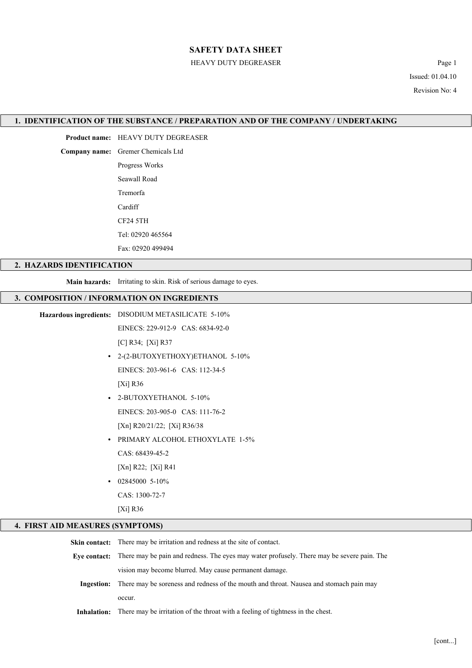#### HEAVY DUTY DEGREASER Page 1

Issued: 01.04.10 Revision No: 4

#### 1. IDENTIFICATION OF THE SUBSTANCE / PREPARATION AND OF THE COMPANY / UNDERTAKING

Product name: HEAVY DUTY DEGREASER

Company name: Gremer Chemicals Ltd

Progress Works Seawall Road Tremorfa **Cardiff** CF24 5TH Tel: 02920 465564

Fax: 02920 499494

#### 2. HAZARDS IDENTIFICATION

Main hazards: Irritating to skin. Risk of serious damage to eyes.

#### 3. COMPOSITION / INFORMATION ON INGREDIENTS

Hazardous ingredients: DISODIUM METASILICATE 5-10%

EINECS: 229-912-9 CAS: 6834-92-0

[C] R34; [Xi] R37

• 2-(2-BUTOXYETHOXY)ETHANOL 5-10% EINECS: 203-961-6 CAS: 112-34-5

[Xi] R36

- 2-BUTOXYETHANOL 5-10% EINECS: 203-905-0 CAS: 111-76-2 [Xn] R20/21/22; [Xi] R36/38
- PRIMARY ALCOHOL ETHOXYLATE 1-5%

CAS: 68439-45-2

[Xn] R22; [Xi] R41

 $\cdot$  02845000 5-10%

CAS: 1300-72-7

[Xi] R36

## 4. FIRST AID MEASURES (SYMPTOMS)

| <b>Skin contact:</b> There may be irritation and redness at the site of contact.                         |  |
|----------------------------------------------------------------------------------------------------------|--|
| Eye contact: There may be pain and redness. The eyes may water profusely. There may be severe pain. The  |  |
| vision may become blurred. May cause permanent damage.                                                   |  |
| <b>Ingestion:</b> There may be soreness and redness of the mouth and throat. Nausea and stomach pain may |  |
| occur.                                                                                                   |  |
| <b>Inhalation:</b> There may be irritation of the throat with a feeling of tightness in the chest.       |  |

[cont...]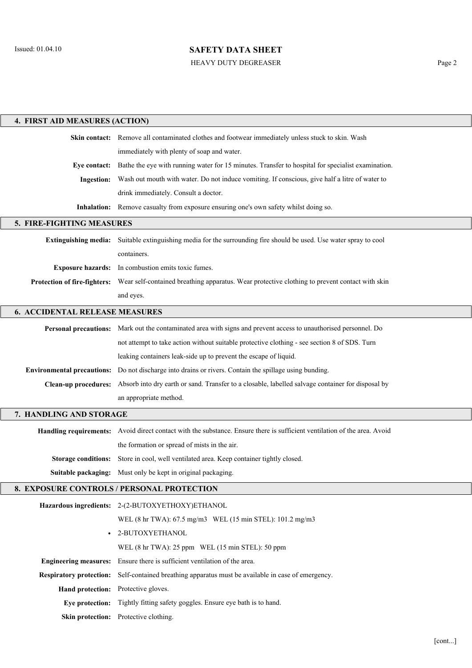HEAVY DUTY DEGREASER Page 2

| 4. FIRST AID MEASURES (ACTION)        |                                                                                                                             |  |  |  |  |
|---------------------------------------|-----------------------------------------------------------------------------------------------------------------------------|--|--|--|--|
|                                       | Skin contact: Remove all contaminated clothes and footwear immediately unless stuck to skin. Wash                           |  |  |  |  |
|                                       | immediately with plenty of soap and water.                                                                                  |  |  |  |  |
| Eve contact:                          | Bathe the eye with running water for 15 minutes. Transfer to hospital for specialist examination.                           |  |  |  |  |
| <b>Ingestion:</b>                     | Wash out mouth with water. Do not induce vomiting. If conscious, give half a litre of water to                              |  |  |  |  |
|                                       | drink immediately. Consult a doctor.                                                                                        |  |  |  |  |
|                                       | Inhalation: Remove casualty from exposure ensuring one's own safety whilst doing so.                                        |  |  |  |  |
| 5. FIRE-FIGHTING MEASURES             |                                                                                                                             |  |  |  |  |
|                                       | Extinguishing media: Suitable extinguishing media for the surrounding fire should be used. Use water spray to cool          |  |  |  |  |
|                                       | containers.                                                                                                                 |  |  |  |  |
|                                       | Exposure hazards: In combustion emits toxic fumes.                                                                          |  |  |  |  |
|                                       | Protection of fire-fighters: Wear self-contained breathing apparatus. Wear protective clothing to prevent contact with skin |  |  |  |  |
|                                       | and eyes.                                                                                                                   |  |  |  |  |
| <b>6. ACCIDENTAL RELEASE MEASURES</b> |                                                                                                                             |  |  |  |  |
|                                       | Personal precautions: Mark out the contaminated area with signs and prevent access to unauthorised personnel. Do            |  |  |  |  |
|                                       | not attempt to take action without suitable protective clothing - see section 8 of SDS. Turn                                |  |  |  |  |
|                                       | leaking containers leak-side up to prevent the escape of liquid.                                                            |  |  |  |  |
|                                       | <b>Environmental precautions:</b> Do not discharge into drains or rivers. Contain the spillage using bunding.               |  |  |  |  |
|                                       | Clean-up procedures: Absorb into dry earth or sand. Transfer to a closable, labelled salvage container for disposal by      |  |  |  |  |
|                                       | an appropriate method.                                                                                                      |  |  |  |  |
| 7. HANDLING AND STORAGE               |                                                                                                                             |  |  |  |  |
|                                       | Handling requirements: Avoid direct contact with the substance. Ensure there is sufficient ventilation of the area. Avoid   |  |  |  |  |
|                                       | the formation or spread of mists in the air.                                                                                |  |  |  |  |
|                                       | Storage conditions: Store in cool, well ventilated area. Keep container tightly closed.                                     |  |  |  |  |
|                                       | Suitable packaging: Must only be kept in original packaging.                                                                |  |  |  |  |
|                                       | 8. EXPOSURE CONTROLS / PERSONAL PROTECTION                                                                                  |  |  |  |  |
|                                       |                                                                                                                             |  |  |  |  |
|                                       | Hazardous ingredients: 2-(2-BUTOXYETHOXY)ETHANOL<br>WEL (8 hr TWA): 67.5 mg/m3 WEL (15 min STEL): 101.2 mg/m3               |  |  |  |  |
|                                       | · 2-BUTOXYETHANOL                                                                                                           |  |  |  |  |
|                                       | WEL (8 hr TWA): 25 ppm WEL (15 min STEL): 50 ppm                                                                            |  |  |  |  |
| <b>Engineering measures:</b>          | Ensure there is sufficient ventilation of the area.                                                                         |  |  |  |  |
| <b>Respiratory protection:</b>        | Self-contained breathing apparatus must be available in case of emergency.                                                  |  |  |  |  |
| Hand protection: Protective gloves.   |                                                                                                                             |  |  |  |  |
| Eye protection:                       | Tightly fitting safety goggles. Ensure eye bath is to hand.                                                                 |  |  |  |  |
|                                       | Skin protection: Protective clothing.                                                                                       |  |  |  |  |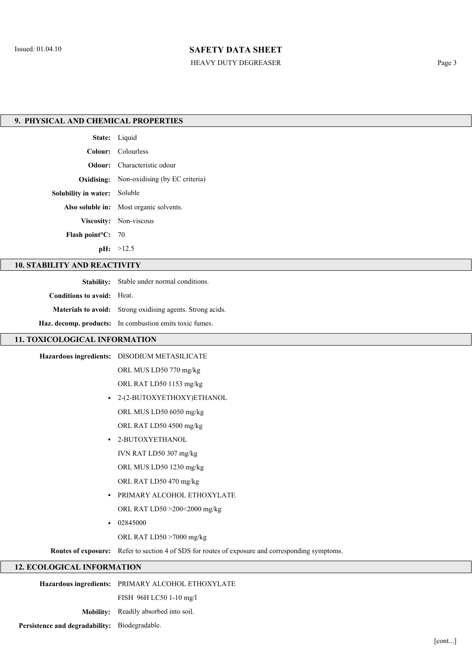# HEAVY DUTY DEGREASER Page 3

| 9. PHYSICAL AND CHEMICAL PROPERTIES |                                                                                                  |  |  |  |  |
|-------------------------------------|--------------------------------------------------------------------------------------------------|--|--|--|--|
|                                     | State: Liquid                                                                                    |  |  |  |  |
|                                     | Colour: Colourless                                                                               |  |  |  |  |
| Odour:                              | Characteristic odour                                                                             |  |  |  |  |
| Oxidising:                          | Non-oxidising (by EC criteria)                                                                   |  |  |  |  |
| Solubility in water: Soluble        |                                                                                                  |  |  |  |  |
|                                     | Also soluble in: Most organic solvents.                                                          |  |  |  |  |
|                                     | Viscosity: Non-viscous                                                                           |  |  |  |  |
| Flash point <sup>o</sup> C: 70      |                                                                                                  |  |  |  |  |
|                                     | pH: >12.5                                                                                        |  |  |  |  |
| <b>10. STABILITY AND REACTIVITY</b> |                                                                                                  |  |  |  |  |
|                                     | Stability: Stable under normal conditions.                                                       |  |  |  |  |
| Conditions to avoid: Heat.          |                                                                                                  |  |  |  |  |
|                                     | Materials to avoid: Strong oxidising agents. Strong acids.                                       |  |  |  |  |
|                                     | Haz. decomp. products: In combustion emits toxic fumes.                                          |  |  |  |  |
| 11. TOXICOLOGICAL INFORMATION       |                                                                                                  |  |  |  |  |
|                                     | Hazardous ingredients: DISODIUM METASILICATE                                                     |  |  |  |  |
|                                     | ORL MUS LD50 770 mg/kg                                                                           |  |  |  |  |
|                                     | ORL RAT LD50 1153 mg/kg                                                                          |  |  |  |  |
| $\bullet$                           | 2-(2-BUTOXYETHOXY)ETHANOL                                                                        |  |  |  |  |
|                                     | ORL MUS LD50 6050 mg/kg                                                                          |  |  |  |  |
|                                     | ORL RAT LD50 4500 mg/kg                                                                          |  |  |  |  |
| $\bullet$                           | 2-BUTOXYETHANOL                                                                                  |  |  |  |  |
|                                     | IVN RAT LD50 307 mg/kg                                                                           |  |  |  |  |
|                                     | ORL MUS LD50 1230 mg/kg                                                                          |  |  |  |  |
|                                     | ORL RAT LD50 470 mg/kg                                                                           |  |  |  |  |
| $\bullet$                           | PRIMARY ALCOHOL ETHOXYLATE                                                                       |  |  |  |  |
|                                     | ORL RAT LD50 >200<2000 mg/kg                                                                     |  |  |  |  |
| $\bullet$                           | 02845000                                                                                         |  |  |  |  |
|                                     | ORL RAT LD50 >7000 mg/kg                                                                         |  |  |  |  |
|                                     | Routes of exposure: Refer to section 4 of SDS for routes of exposure and corresponding symptoms. |  |  |  |  |
| <b>12. ECOLOGICAL INFORMATION</b>   |                                                                                                  |  |  |  |  |
|                                     | Hazardous ingredients: PRIMARY ALCOHOL ETHOXYLATE                                                |  |  |  |  |

Mobility: Readily absorbed into soil.

Persistence and degradability: Biodegradable.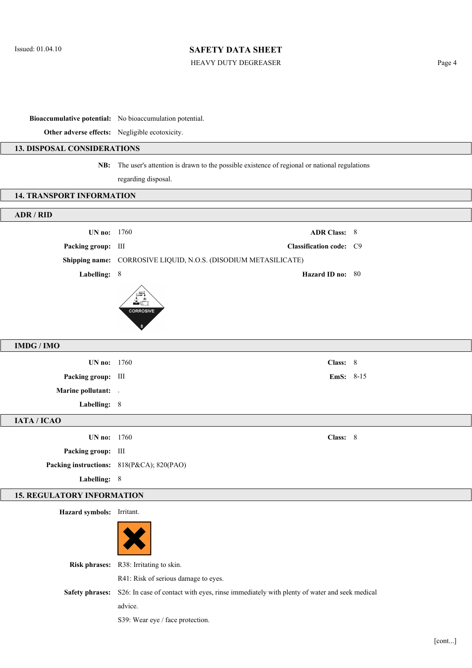## HEAVY DUTY DEGREASER Page 4

Bioaccumulative potential: No bioaccumulation potential.

Other adverse effects: Negligible ecotoxicity.

## 13. DISPOSAL CONSIDERATIONS

NB: The user's attention is drawn to the possible existence of regional or national regulations regarding disposal.

### 14. TRANSPORT INFORMATION

| ADR / RID                         |                                                                                                            |  |
|-----------------------------------|------------------------------------------------------------------------------------------------------------|--|
| UN no: 1760                       | <b>ADR Class: 8</b>                                                                                        |  |
| Packing group: III                | Classification code: C9                                                                                    |  |
|                                   | Shipping name: CORROSIVE LIQUID, N.O.S. (DISODIUM METASILICATE)                                            |  |
| Labelling: 8                      | Hazard ID no: 80                                                                                           |  |
|                                   | <b>CORROSIVE</b>                                                                                           |  |
| <b>IMDG / IMO</b>                 |                                                                                                            |  |
| UN no: 1760                       | Class: 8                                                                                                   |  |
| Packing group: III                | EmS: 8-15                                                                                                  |  |
| <b>Marine pollutant:</b> .        |                                                                                                            |  |
| Labelling: 8                      |                                                                                                            |  |
| IATA / ICAO                       |                                                                                                            |  |
| UN no: 1760                       | Class: 8                                                                                                   |  |
| Packing group: III                |                                                                                                            |  |
|                                   | Packing instructions: 818(P&CA); 820(PAO)                                                                  |  |
| Labelling: 8                      |                                                                                                            |  |
| <b>15. REGULATORY INFORMATION</b> |                                                                                                            |  |
| Hazard symbols: Irritant.         |                                                                                                            |  |
|                                   |                                                                                                            |  |
|                                   | Risk phrases: R38: Irritating to skin.                                                                     |  |
|                                   | R41: Risk of serious damage to eyes.                                                                       |  |
|                                   | Safety phrases: S26: In case of contact with eyes, rinse immediately with plenty of water and seek medical |  |
|                                   | advice.                                                                                                    |  |
|                                   | S39: Wear eye / face protection.                                                                           |  |
|                                   |                                                                                                            |  |